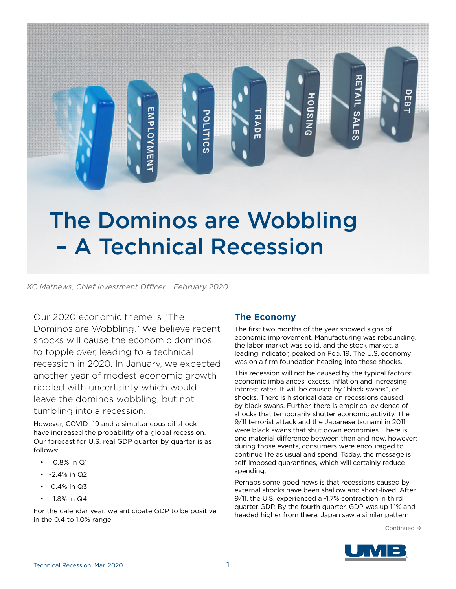# The Dominos are Wobbling – A Technical Recession

POLITICS

*KC Mathews, Chief Investment Officer, February 2020*

**EMPLOYMEN** 

Our 2020 economic theme is "The Dominos are Wobbling." We believe recent shocks will cause the economic dominos to topple over, leading to a technical recession in 2020. In January, we expected another year of modest economic growth riddled with uncertainty which would leave the dominos wobbling, but not tumbling into a recession.

However, COVID -19 and a simultaneous oil shock have increased the probability of a global recession. Our forecast for U.S. real GDP quarter by quarter is as follows:

- 0.8% in Q1
- $\cdot$  -2.4% in Q2
- $\cdot$  -0.4% in Q3
- 1.8% in Q4

For the calendar year, we anticipate GDP to be positive in the 0.4 to 1.0% range.

## **The Economy**

**TRADE** 

The first two months of the year showed signs of economic improvement. Manufacturing was rebounding, the labor market was solid, and the stock market, a leading indicator, peaked on Feb. 19. The U.S. economy was on a firm foundation heading into these shocks.

**RETAIL SALES** 

豆

HOUSING

This recession will not be caused by the typical factors: economic imbalances, excess, inflation and increasing interest rates. It will be caused by "black swans", or shocks. There is historical data on recessions caused by black swans. Further, there is empirical evidence of shocks that temporarily shutter economic activity. The 9/11 terrorist attack and the Japanese tsunami in 2011 were black swans that shut down economies. There is one material difference between then and now, however; during those events, consumers were encouraged to continue life as usual and spend. Today, the message is self-imposed quarantines, which will certainly reduce spending.

Perhaps some good news is that recessions caused by external shocks have been shallow and short-lived. After 9/11, the U.S. experienced a -1.7% contraction in third quarter GDP. By the fourth quarter, GDP was up 1.1% and headed higher from there. Japan saw a similar pattern

Continued  $\rightarrow$